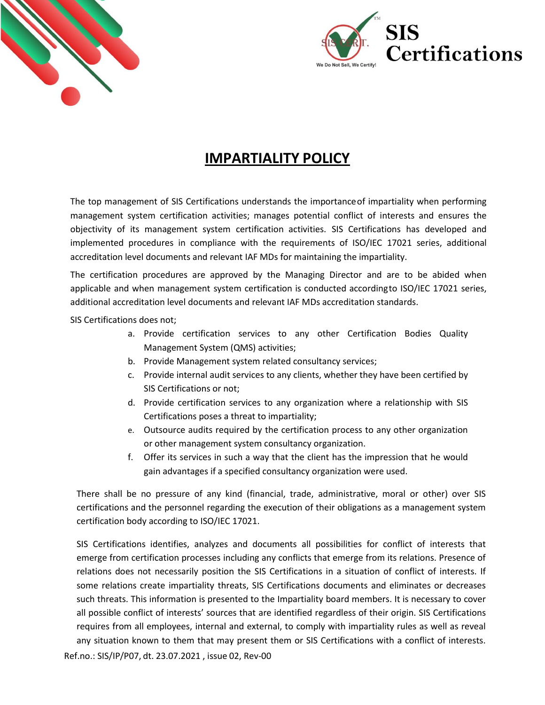



## **IMPARTIALITY POLICY**

The top management of SIS Certifications understands the importanceof impartiality when performing management system certification activities; manages potential conflict of interests and ensures the objectivity of its management system certification activities. SIS Certifications has developed and implemented procedures in compliance with the requirements of ISO/IEC 17021 series, additional accreditation level documents and relevant IAF MDs for maintaining the impartiality.

The certification procedures are approved by the Managing Director and are to be abided when applicable and when management system certification is conducted accordingto ISO/IEC 17021 series, additional accreditation level documents and relevant IAF MDs accreditation standards.

SIS Certifications does not;

- a. Provide certification services to any other Certification Bodies Quality Management System (QMS) activities;
- b. Provide Management system related consultancy services;
- c. Provide internal audit services to any clients, whether they have been certified by SIS Certifications or not;
- d. Provide certification services to any organization where a relationship with SIS Certifications poses a threat to impartiality;
- e. Outsource audits required by the certification process to any other organization or other management system consultancy organization.
- f. Offer its services in such a way that the client has the impression that he would gain advantages if a specified consultancy organization were used.

There shall be no pressure of any kind (financial, trade, administrative, moral or other) over SIS certifications and the personnel regarding the execution of their obligations as a management system certification body according to ISO/IEC 17021.

SIS Certifications identifies, analyzes and documents all possibilities for conflict of interests that emerge from certification processes including any conflicts that emerge from its relations. Presence of relations does not necessarily position the SIS Certifications in a situation of conflict of interests. If some relations create impartiality threats, SIS Certifications documents and eliminates or decreases such threats. This information is presented to the Impartiality board members. It is necessary to cover all possible conflict of interests' sources that are identified regardless of their origin. SIS Certifications requires from all employees, internal and external, to comply with impartiality rules as well as reveal any situation known to them that may present them or SIS Certifications with a conflict of interests.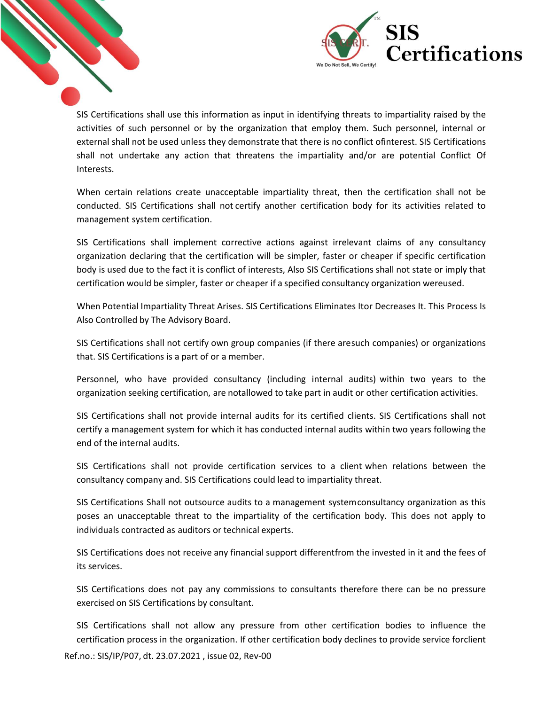

SIS Certifications shall use this information as input in identifying threats to impartiality raised by the activities of such personnel or by the organization that employ them. Such personnel, internal or external shall not be used unless they demonstrate that there is no conflict ofinterest. SIS Certifications shall not undertake any action that threatens the impartiality and/or are potential Conflict Of Interests.

When certain relations create unacceptable impartiality threat, then the certification shall not be conducted. SIS Certifications shall not certify another certification body for its activities related to management system certification.

SIS Certifications shall implement corrective actions against irrelevant claims of any consultancy organization declaring that the certification will be simpler, faster or cheaper if specific certification body is used due to the fact it is conflict of interests, Also SIS Certifications shall not state or imply that certification would be simpler, faster or cheaper if a specified consultancy organization wereused.

When Potential Impartiality Threat Arises. SIS Certifications Eliminates Itor Decreases It. This Process Is Also Controlled by The Advisory Board.

SIS Certifications shall not certify own group companies (if there aresuch companies) or organizations that. SIS Certifications is a part of or a member.

Personnel, who have provided consultancy (including internal audits) within two years to the organization seeking certification, are notallowed to take part in audit or other certification activities.

SIS Certifications shall not provide internal audits for its certified clients. SIS Certifications shall not certify a management system for which it has conducted internal audits within two years following the end of the internal audits.

SIS Certifications shall not provide certification services to a client when relations between the consultancy company and. SIS Certifications could lead to impartiality threat.

SIS Certifications Shall not outsource audits to a management systemconsultancy organization as this poses an unacceptable threat to the impartiality of the certification body. This does not apply to individuals contracted as auditors or technical experts.

SIS Certifications does not receive any financial support differentfrom the invested in it and the fees of its services.

SIS Certifications does not pay any commissions to consultants therefore there can be no pressure exercised on SIS Certifications by consultant.

SIS Certifications shall not allow any pressure from other certification bodies to influence the certification process in the organization. If other certification body declines to provide service forclient

Ref.no.: SIS/IP/P07, dt. 23.07.2021 , issue 02, Rev-00